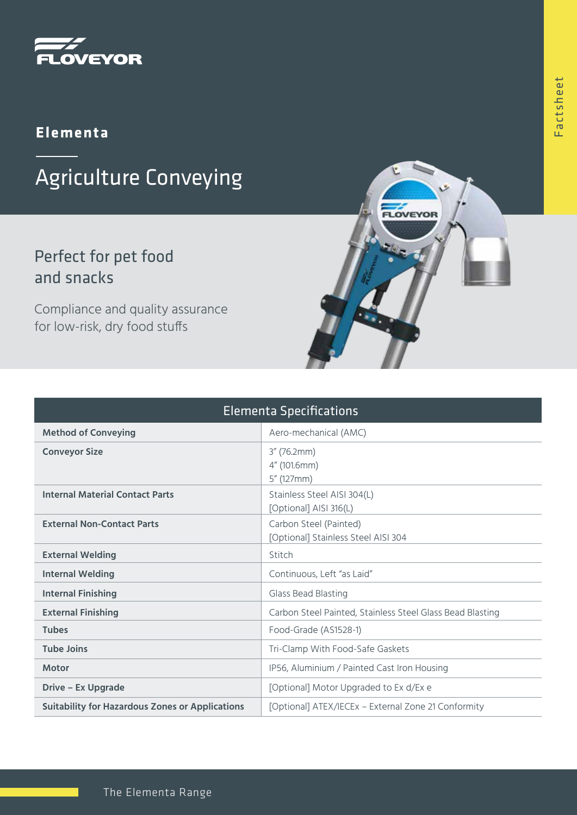

#### **Elementa**

# Agriculture Conveying

### Perfect for pet food and snacks

Compliance and quality assurance for low-risk, dry food stuffs

| <b>Elementa Specifications</b>                         |                                                               |
|--------------------------------------------------------|---------------------------------------------------------------|
| <b>Method of Conveying</b>                             | Aero-mechanical (AMC)                                         |
| <b>Conveyor Size</b>                                   | $3''$ (76.2mm)<br>4" (101.6mm)<br>$5''$ (127mm)               |
| <b>Internal Material Contact Parts</b>                 | Stainless Steel AISI 304(L)<br>[Optional] AISI 316(L)         |
| <b>External Non-Contact Parts</b>                      | Carbon Steel (Painted)<br>[Optional] Stainless Steel AISI 304 |
| <b>External Welding</b>                                | Stitch                                                        |
| <b>Internal Welding</b>                                | Continuous, Left "as Laid"                                    |
| <b>Internal Finishing</b>                              | Glass Bead Blasting                                           |
| <b>External Finishing</b>                              | Carbon Steel Painted, Stainless Steel Glass Bead Blasting     |
| <b>Tubes</b>                                           | Food-Grade (AS1528-1)                                         |
| <b>Tube Joins</b>                                      | Tri-Clamp With Food-Safe Gaskets                              |
| <b>Motor</b>                                           | IP56, Aluminium / Painted Cast Iron Housing                   |
| <b>Drive - Ex Upgrade</b>                              | [Optional] Motor Upgraded to Ex d/Ex e                        |
| <b>Suitability for Hazardous Zones or Applications</b> | [Optional] ATEX/IECEx - External Zone 21 Conformity           |

LOVEYOR